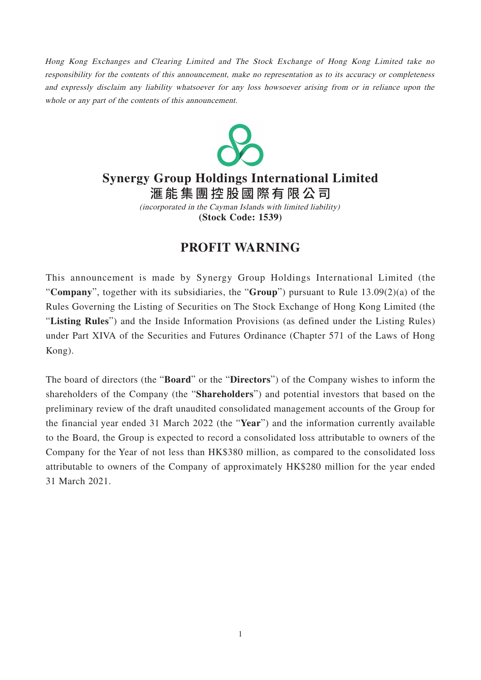Hong Kong Exchanges and Clearing Limited and The Stock Exchange of Hong Kong Limited take no responsibility for the contents of this announcement, make no representation as to its accuracy or completeness and expressly disclaim any liability whatsoever for any loss howsoever arising from or in reliance upon the whole or any part of the contents of this announcement.



## **Synergy Group Holdings International Limited**

滙能集團控股國際有限 公 司

**(Stock Code: 1539)** (incorporated in the Cayman Islands with limited liability)

## **PROFIT WARNING**

This announcement is made by Synergy Group Holdings International Limited (the "**Company**", together with its subsidiaries, the "**Group**") pursuant to Rule 13.09(2)(a) of the Rules Governing the Listing of Securities on The Stock Exchange of Hong Kong Limited (the "**Listing Rules**") and the Inside Information Provisions (as defined under the Listing Rules) under Part XIVA of the Securities and Futures Ordinance (Chapter 571 of the Laws of Hong Kong).

The board of directors (the "**Board**" or the "**Directors**") of the Company wishes to inform the shareholders of the Company (the "**Shareholders**") and potential investors that based on the preliminary review of the draft unaudited consolidated management accounts of the Group for the financial year ended 31 March 2022 (the "**Year**") and the information currently available to the Board, the Group is expected to record a consolidated loss attributable to owners of the Company for the Year of not less than HK\$380 million, as compared to the consolidated loss attributable to owners of the Company of approximately HK\$280 million for the year ended 31 March 2021.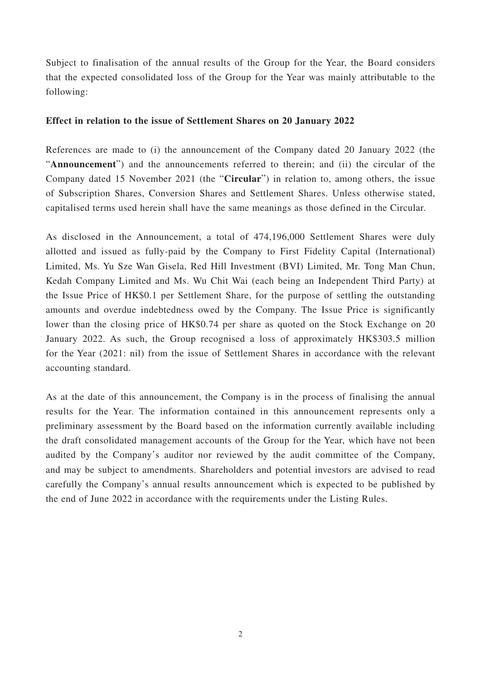Subject to finalisation of the annual results of the Group for the Year, the Board considers that the expected consolidated loss of the Group for the Year was mainly attributable to the following:

## **Effect in relation to the issue of Settlement Shares on 20 January 2022**

References are made to (i) the announcement of the Company dated 20 January 2022 (the "**Announcement**") and the announcements referred to therein; and (ii) the circular of the Company dated 15 November 2021 (the "**Circular**") in relation to, among others, the issue of Subscription Shares, Conversion Shares and Settlement Shares. Unless otherwise stated, capitalised terms used herein shall have the same meanings as those defined in the Circular.

As disclosed in the Announcement, a total of 474,196,000 Settlement Shares were duly allotted and issued as fully-paid by the Company to First Fidelity Capital (International) Limited, Ms. Yu Sze Wan Gisela, Red Hill Investment (BVI) Limited, Mr. Tong Man Chun, Kedah Company Limited and Ms. Wu Chit Wai (each being an Independent Third Party) at the Issue Price of HK\$0.1 per Settlement Share, for the purpose of settling the outstanding amounts and overdue indebtedness owed by the Company. The Issue Price is significantly lower than the closing price of HK\$0.74 per share as quoted on the Stock Exchange on 20 January 2022. As such, the Group recognised a loss of approximately HK\$303.5 million for the Year (2021: nil) from the issue of Settlement Shares in accordance with the relevant accounting standard.

As at the date of this announcement, the Company is in the process of finalising the annual results for the Year. The information contained in this announcement represents only a preliminary assessment by the Board based on the information currently available including the draft consolidated management accounts of the Group for the Year, which have not been audited by the Company's auditor nor reviewed by the audit committee of the Company, and may be subject to amendments. Shareholders and potential investors are advised to read carefully the Company's annual results announcement which is expected to be published by the end of June 2022 in accordance with the requirements under the Listing Rules.